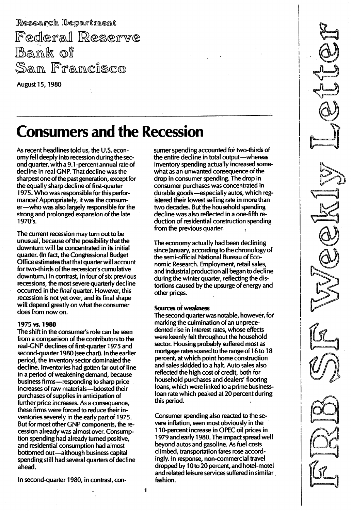Research Department Federal Reserve Bank of San Francisco

August 15, 1 980

# Consumers and the Recession

As recent headlines told us, the U.S. economy fell deeply into recession during the second quarter, with a 9.1-percent annual rate of decline in real GNP. That decline was the sharpest one of the past generation, except for the equally sharp decline of first-quarter 1 975. Who was responsible for this performance? Appropriately, it was the consumer-who was also largely responsible for the strong and prolonged expansion of the late 1970's.

The current recession may turn out to be unusual, because of the possibility that the downturn will be concentrated in its initial quarter. (In fact, the Congressional Budget Office estimates that that quarter will account for two-thirds of the recession's cumulative downturn.) In contrast, in four of six previous recessions, the most severe quarterly decline occurred in the final quarter. However, this recession is not yet over, and its final shape will depend greatly on what the consumer does from now on.

### 1975 vs.1 980

The shift in the consumer's role can be seen from a comparison of the contributors to the real-GNP declines of first-quarter 1975 and second-quarter 1980 (see chart). In the earlier period, the inventory sector dominated the decline. Inventories had gotten far out of line in a period of weakening demand, because business firms-responding to sharp price increases of raw materials-boosted their purchases of supplies in anticipation of further price increases. As a consequence, these firms were forced to reduce their inventories severely in the early part of 1975. But for most other GNP components, the recession already was almost over. Consumption spending had already turned positive, and residential consumption had almost bottomed out-although business capital spending still had several quarters of decline ahead.

In second-quarter 1 980, in contrast, con-

sumer spending accounted for two-thirds of the entire decline in total output-whereas inventory spending actually increased somewhat as an unwanted consequence of the drop in consumer spending. The drop in consumer purchases was concentrated in durable goods-especially autos, which registered their lowest selling rate in more than two decades. But the household spending decline was also reflected in a one-fifth reduction of residential construction spending from the previous quarter.

The economy actually had been declining since January, according to the chronology of the semi-official National Bureau of Economic Research. Employment, retail sales, and industrial production all began to decline during the winter quarter, reflecting the distortions caused by the upsurge of energy and other prices.

### Sources of weakness

The second quarter was notable, however, for marking the culmination of an unprecedented rise in interest rates, whose effects were keenly felt throughout the household sector. Housing probably suffered most as mortgage rates soared to the range of 16 to 18 percent, at which point home construction and sales skidded to a halt. Auto sales also reflected the high cost of credit, both for household purchases and dealers' flooring loans, which were linked to a prime businessloan rate which peaked at 20 percent during this period.

Consumer spending also reacted to the severe inflation, seen most obviously in the 11 O-percent increase in OPEC oil prices in 1979 and early 1980. The impact spread well beyond autos and gasoline. As fuel costs climbed, transportation fares rose accordingly. In response, non-commercial travel dropped by 10 to 20 percent, and hotel-motel and related leisure services suffered in similar fashion.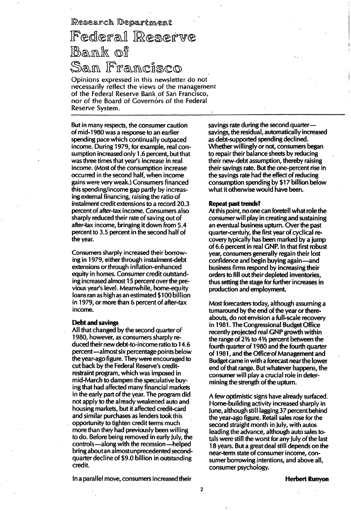Research Department

## Federal Reserve Bank of San Francisco

Opinions expressed in this newsletter do not necessarily reflect the views of the management of the Federa! Reserve Bank of San Francisco, nor of the Board of Governors of the Federal Reserve System.

But in many respects, the consumer caution of mid-1 980 was a response to an earlier spending pace which continually outpaced income. During 1979, for example, real consumption increased only 1 .6 percent, but that was three times that year's increase in real income. (Most of the consumption increase occurred in the second half, when income gains were very weak.) Consumers financed this spending/income gap partly by increasing external financing, raising the ratio of instalment credit extensions to a record 20.3 percent of after-tax income. Consumers also sharply reduced their rate of saving out of after-tax income, bringing it down from 5.4 percent to 3.5 percent in the second half of the year.

Consumers sharply increased their borrowing in 1 979, either through instalment-debt extensions or through inflation-enhanced equity in homes. Consumer credit outstanding increased almost 1 5 percent over the previous year's level. Meanwhile, home-equity loans ran as high as an estimated \$1 00 billion in 1979, or more than 6 percent of after-tax income.

### Debt and savings

All that changed by the second quarter of 1 980, however, as consumers sharply reduced their new debt-to-income ratio to 1 4.6 percent-almost six percentage points below the year-ago figure. They were encouraged to cut back by the Federal Reserve's creditrestraint program, which was imposed in mid-March to dampen the speculative buying that had affected many financial markets in the early part of the year. The program did not apply to the already weakened auto and housing markets, but it affected credit-card and similar purchases as lenders took this opportunity to tighten credit terms much more than they had previously been willing to do. Before being removed in early July, the controls -along with the recession --helped bring aboutan almost unprecedented secondquarter decline of \$9.0 billion in outstanding credit.

savings rate during the second quarter--savings, the residual, automatically increased as debt-supported spending declined. Whether willingly or not, consumers began to repair their balance sheets by reducing their new-debt assumption, thereby raising their savings rate. But the one-percent rise in the savings rate had the effect of reducing consumption spending by \$17 billion below what it otherwise would have been.

### Repeat past trends?

Atthis point, no one can foretell what role the conSumer will play in creating and sustaining an eventual business upturn. Over the past quarter-centufy, the first year of cyclical recovery typically has been marked by a jump of 6.6 percent in real GNP. In that first robust year, consumers generally regain their lost confidence and begin buying again-and business firms respond by increasing their orders to fill out their depleted inventories, thus setting the stage for further increases in production and employment.

Most forecasters today, although assuming a turnaround by the end of the year or thereabouts, do not envision a full-scale recovery in 1 981 . The Congressional Budget Office recently projected real GNP growth within the range of  $2\frac{1}{2}$  to  $4\frac{1}{2}$  percent between the fourth quarter of 1 980 and the fourth quarter of 1 981 , and the Office'of Management and Budget came in with a forecast near the lower end of that range. But whatever happens, the consumer will playa crucial role in determining the strength of the upturn.

A few optimistic signs have already surfaced. Home-building activity increased sharply in June, although still lagging 37 percent behind the year-ago figure. Retail sales rose for the second straight month in July, with autos leading the advance, although auto sales totals were still the worst for any July of the last 1 8 years. But a great deal still depends on the near-term state of consumer income, consumer borrowing intentions, and above all, consumer psychology.

In a parallel move, consumers increased their

Herbert Runyon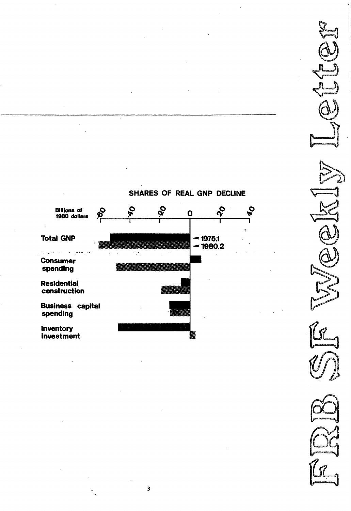